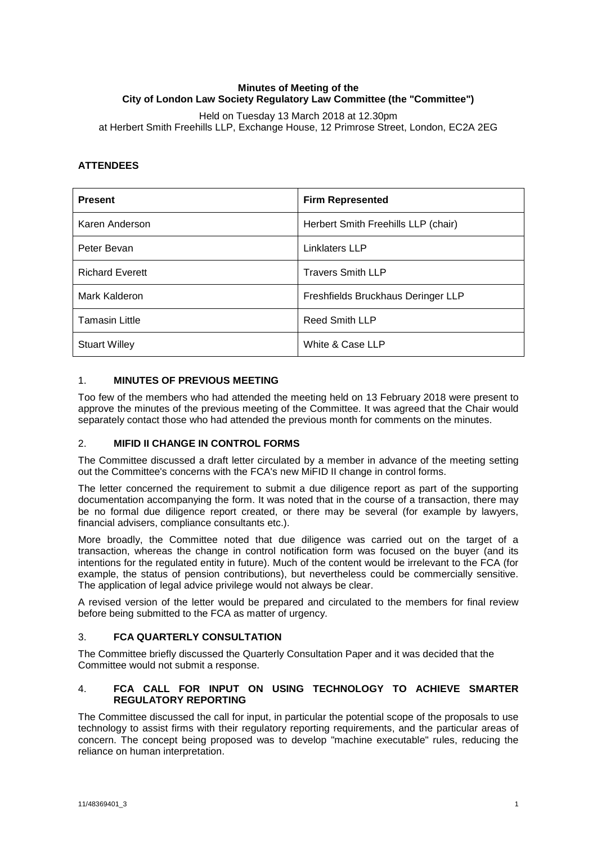# **Minutes of Meeting of the City of London Law Society Regulatory Law Committee (the "Committee")**

Held on Tuesday 13 March 2018 at 12.30pm at Herbert Smith Freehills LLP, Exchange House, 12 Primrose Street, London, EC2A 2EG

# **ATTENDEES**

| <b>Present</b>         | <b>Firm Represented</b>             |
|------------------------|-------------------------------------|
| Karen Anderson         | Herbert Smith Freehills LLP (chair) |
| Peter Bevan            | Linklaters LLP                      |
| <b>Richard Everett</b> | <b>Travers Smith LLP</b>            |
| Mark Kalderon          | Freshfields Bruckhaus Deringer LLP  |
| <b>Tamasin Little</b>  | <b>Reed Smith LLP</b>               |
| <b>Stuart Willey</b>   | White & Case LLP                    |

### 1. **MINUTES OF PREVIOUS MEETING**

Too few of the members who had attended the meeting held on 13 February 2018 were present to approve the minutes of the previous meeting of the Committee. It was agreed that the Chair would separately contact those who had attended the previous month for comments on the minutes.

## 2. **MIFID II CHANGE IN CONTROL FORMS**

The Committee discussed a draft letter circulated by a member in advance of the meeting setting out the Committee's concerns with the FCA's new MiFID II change in control forms.

The letter concerned the requirement to submit a due diligence report as part of the supporting documentation accompanying the form. It was noted that in the course of a transaction, there may be no formal due diligence report created, or there may be several (for example by lawyers, financial advisers, compliance consultants etc.).

More broadly, the Committee noted that due diligence was carried out on the target of a transaction, whereas the change in control notification form was focused on the buyer (and its intentions for the regulated entity in future). Much of the content would be irrelevant to the FCA (for example, the status of pension contributions), but nevertheless could be commercially sensitive. The application of legal advice privilege would not always be clear.

A revised version of the letter would be prepared and circulated to the members for final review before being submitted to the FCA as matter of urgency.

# 3. **FCA QUARTERLY CONSULTATION**

The Committee briefly discussed the Quarterly Consultation Paper and it was decided that the Committee would not submit a response.

### 4. **FCA CALL FOR INPUT ON USING TECHNOLOGY TO ACHIEVE SMARTER REGULATORY REPORTING**

The Committee discussed the call for input, in particular the potential scope of the proposals to use technology to assist firms with their regulatory reporting requirements, and the particular areas of concern. The concept being proposed was to develop "machine executable" rules, reducing the reliance on human interpretation.